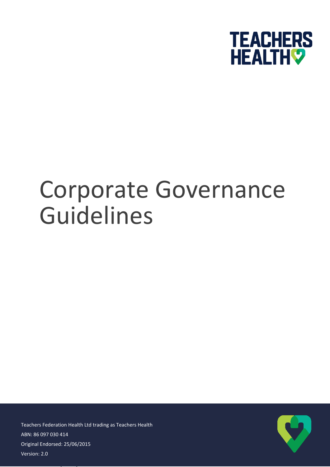

# Corporate Governance Guidelines

ABN: 86 097 030 414 Original Endorsed: 25/06/2015  $2.06$ Teachers Federation Health Ltd trading as Teachers Health Version: 2.0

Version: [Status]

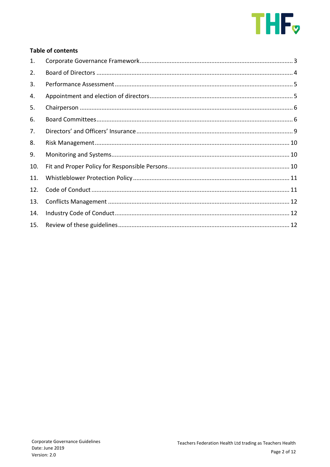

# **Table of contents**

| 1.  |  |
|-----|--|
| 2.  |  |
| 3.  |  |
| 4.  |  |
| 5.  |  |
| 6.  |  |
| 7.  |  |
| 8.  |  |
| 9.  |  |
| 10. |  |
| 11. |  |
| 12. |  |
| 13. |  |
| 14. |  |
| 15. |  |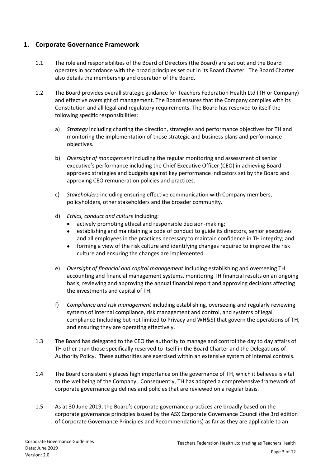## <span id="page-2-0"></span>**1. Corporate Governance Framework**

- 1.1 The role and responsibilities of the Board of Directors (the Board) are set out and the Board operates in accordance with the broad principles set out in its Board Charter. The Board Charter also details the membership and operation of the Board.
- 1.2 The Board provides overall strategic guidance for Teachers Federation Health Ltd (TH or Company) and effective oversight of management. The Board ensures that the Company complies with its Constitution and all legal and regulatory requirements. The Board has reserved to itself the following specific responsibilities:
	- a) *Strategy* including charting the direction, strategies and performance objectives for TH and monitoring the implementation of those strategic and business plans and performance objectives.
	- b) *Oversight of management* including the regular monitoring and assessment of senior executive's performance including the Chief Executive Officer (CEO) in achieving Board approved strategies and budgets against key performance indicators set by the Board and approving CEO remuneration policies and practices.
	- c) *Stakeholders* including ensuring effective communication with Company members, policyholders, other stakeholders and the broader community.
	- d) *Ethics, conduct and culture* including:
		- actively promoting ethical and responsible decision-making;
		- establishing and maintaining a code of conduct to guide its directors, senior executives and all employees in the practices necessary to maintain confidence in TH integrity; and
		- forming a view of the risk culture and identifying changes required to improve the risk culture and ensuring the changes are implemented.
	- e) *Oversight of financial and capital management* including establishing and overseeing TH accounting and financial management systems, monitoring TH financial results on an ongoing basis, reviewing and approving the annual financial report and approving decisions affecting the investments and capital of TH.
	- f) *Compliance and risk management* including establishing, overseeing and regularly reviewing systems of internal compliance, risk management and control, and systems of legal compliance (including but not limited to Privacy and WH&S) that govern the operations of TH, and ensuring they are operating effectively.
- 1.3 The Board has delegated to the CEO the authority to manage and control the day to day affairs of TH other than those specifically reserved to itself in the Board Charter and the Delegations of Authority Policy. These authorities are exercised within an extensive system of internal controls.
- 1.4 The Board consistently places high importance on the governance of TH, which it believes is vital to the wellbeing of the Company. Consequently, TH has adopted a comprehensive framework of corporate governance guidelines and policies that are reviewed on a regular basis.
- 1.5 As at 30 June 2019, the Board's corporate governance practices are broadly based on the corporate governance principles issued by the ASX Corporate Governance Council (the 3rd edition of Corporate Governance Principles and Recommendations) as far as they are applicable to an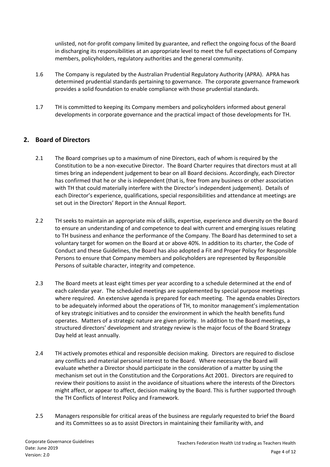unlisted, not-for-profit company limited by guarantee, and reflect the ongoing focus of the Board in discharging its responsibilities at an appropriate level to meet the full expectations of Company members, policyholders, regulatory authorities and the general community.

- 1.6 The Company is regulated by the Australian Prudential Regulatory Authority (APRA). APRA has determined prudential standards pertaining to governance. The corporate governance framework provides a solid foundation to enable compliance with those prudential standards.
- 1.7 TH is committed to keeping its Company members and policyholders informed about general developments in corporate governance and the practical impact of those developments for TH.

# <span id="page-3-0"></span>**2. Board of Directors**

- 2.1 The Board comprises up to a maximum of nine Directors, each of whom is required by the Constitution to be a non-executive Director. The Board Charter requires that directors must at all times bring an independent judgement to bear on all Board decisions. Accordingly, each Director has confirmed that he or she is independent (that is, free from any business or other association with TH that could materially interfere with the Director's independent judgement). Details of each Director's experience, qualifications, special responsibilities and attendance at meetings are set out in the Directors' Report in the Annual Report.
- 2.2 TH seeks to maintain an appropriate mix of skills, expertise, experience and diversity on the Board to ensure an understanding of and competence to deal with current and emerging issues relating to TH business and enhance the performance of the Company. The Board has determined to set a voluntary target for women on the Board at or above 40%. In addition to its charter, the Code of Conduct and these Guidelines, the Board has also adopted a Fit and Proper Policy for Responsible Persons to ensure that Company members and policyholders are represented by Responsible Persons of suitable character, integrity and competence.
- 2.3 The Board meets at least eight times per year according to a schedule determined at the end of each calendar year. The scheduled meetings are supplemented by special purpose meetings where required. An extensive agenda is prepared for each meeting. The agenda enables Directors to be adequately informed about the operations of TH, to monitor management's implementation of key strategic initiatives and to consider the environment in which the health benefits fund operates. Matters of a strategic nature are given priority. In addition to the Board meetings, a structured directors' development and strategy review is the major focus of the Board Strategy Day held at least annually.
- 2.4 TH actively promotes ethical and responsible decision making. Directors are required to disclose any conflicts and material personal interest to the Board. Where necessary the Board will evaluate whether a Director should participate in the consideration of a matter by using the mechanism set out in the Constitution and the Corporations Act 2001. Directors are required to review their positions to assist in the avoidance of situations where the interests of the Directors might affect, or appear to affect, decision making by the Board. This is further supported through the TH Conflicts of Interest Policy and Framework.
- 2.5 Managers responsible for critical areas of the business are regularly requested to brief the Board and its Committees so as to assist Directors in maintaining their familiarity with, and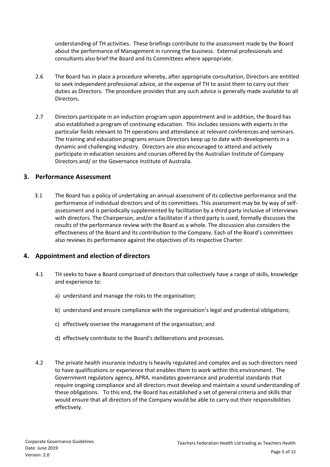understanding of TH activities. These briefings contribute to the assessment made by the Board about the performance of Management in running the business. External professionals and consultants also brief the Board and its Committees where appropriate.

- 2.6 The Board has in place a procedure whereby, after appropriate consultation, Directors are entitled to seek independent professional advice, at the expense of TH to assist them to carry out their duties as Directors. The procedure provides that any such advice is generally made available to all Directors.
- 2.7 Directors participate in an induction program upon appointment and in addition, the Board has also established a program of continuing education. This includes sessions with experts in the particular fields relevant to TH operations and attendance at relevant conferences and seminars. The training and education programs ensure Directors keep up to date with developments in a dynamic and challenging industry. Directors are also encouraged to attend and actively participate in education sessions and courses offered by the Australian Institute of Company Directors and/ or the Governance Institute of Australia.

#### <span id="page-4-0"></span>**3. Performance Assessment**

3.1 The Board has a policy of undertaking an annual assessment of its collective performance and the performance of individual directors and of its committees. This assessment may be by way of selfassessment and is periodically supplemented by facilitation by a third party inclusive of interviews with directors. The Chairperson, and/or a facilitator if a third party is used, formally discusses the results of the performance review with the Board as a whole. The discussion also considers the effectiveness of the Board and its contribution to the Company. Each of the Board's committees also reviews its performance against the objectives of its respective Charter.

#### <span id="page-4-1"></span>**4. Appointment and election of directors**

- 4.1 TH seeks to have a Board comprised of directors that collectively have a range of skills, knowledge and experience to:
	- a) understand and manage the risks to the organisation;
	- b) understand and ensure compliance with the organisation's legal and prudential obligations;
	- c) effectively oversee the management of the organisation; and
	- d) effectively contribute to the Board's deliberations and processes.
- 4.2 The private health insurance industry is heavily regulated and complex and as such directors need to have qualifications or experience that enables them to work within this environment. The Government regulatory agency, APRA, mandates governance and prudential standards that require ongoing compliance and all directors must develop and maintain a sound understanding of these obligations. To this end, the Board has established a set of general criteria and skills that would ensure that all directors of the Company would be able to carry out their responsibilities effectively.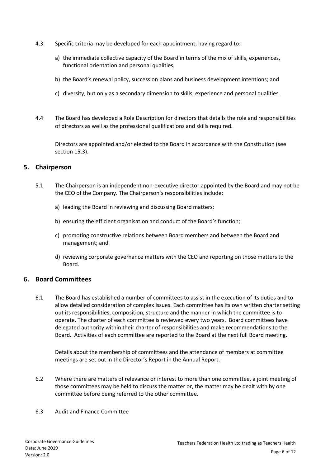- 4.3 Specific criteria may be developed for each appointment, having regard to:
	- a) the immediate collective capacity of the Board in terms of the mix of skills, experiences, functional orientation and personal qualities;
	- b) the Board's renewal policy, succession plans and business development intentions; and
	- c) diversity, but only as a secondary dimension to skills, experience and personal qualities.
- 4.4 The Board has developed a Role Description for directors that details the role and responsibilities of directors as well as the professional qualifications and skills required.

Directors are appointed and/or elected to the Board in accordance with the Constitution (see section 15.3).

#### <span id="page-5-0"></span>**5. Chairperson**

- 5.1 The Chairperson is an independent non-executive director appointed by the Board and may not be the CEO of the Company. The Chairperson's responsibilities include:
	- a) leading the Board in reviewing and discussing Board matters;
	- b) ensuring the efficient organisation and conduct of the Board's function;
	- c) promoting constructive relations between Board members and between the Board and management; and
	- d) reviewing corporate governance matters with the CEO and reporting on those matters to the Board.

#### <span id="page-5-1"></span>**6. Board Committees**

6.1 The Board has established a number of committees to assist in the execution of its duties and to allow detailed consideration of complex issues. Each committee has its own written charter setting out its responsibilities, composition, structure and the manner in which the committee is to operate. The charter of each committee is reviewed every two years. Board committees have delegated authority within their charter of responsibilities and make recommendations to the Board. Activities of each committee are reported to the Board at the next full Board meeting.

Details about the membership of committees and the attendance of members at committee meetings are set out in the Director's Report in the Annual Report.

- 6.2 Where there are matters of relevance or interest to more than one committee, a joint meeting of those committees may be held to discuss the matter or, the matter may be dealt with by one committee before being referred to the other committee.
- 6.3 Audit and Finance Committee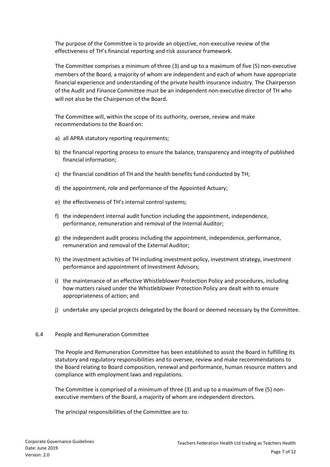The purpose of the Committee is to provide an objective, non-executive review of the effectiveness of TH's financial reporting and risk assurance framework.

The Committee comprises a minimum of three (3) and up to a maximum of five (5) non-executive members of the Board, a majority of whom are independent and each of whom have appropriate financial experience and understanding of the private health insurance industry. The Chairperson of the Audit and Finance Committee must be an independent non-executive director of TH who will not also be the Chairperson of the Board.

The Committee will, within the scope of its authority, oversee, review and make recommendations to the Board on:

- a) all APRA statutory reporting requirements;
- b) the financial reporting process to ensure the balance, transparency and integrity of published financial information;
- c) the financial condition of TH and the health benefits fund conducted by TH;
- d) the appointment, role and performance of the Appointed Actuary;
- e) the effectiveness of TH's internal control systems;
- f) the independent internal audit function including the appointment, independence, performance, remuneration and removal of the Internal Auditor;
- g) the independent audit process including the appointment, independence, performance, remuneration and removal of the External Auditor;
- h) the investment activities of TH including investment policy, investment strategy, investment performance and appointment of Investment Advisors;
- i) the maintenance of an effective Whistleblower Protection Policy and procedures, including how matters raised under the Whistleblower Protection Policy are dealt with to ensure appropriateness of action; and
- j) undertake any special projects delegated by the Board or deemed necessary by the Committee.

#### 6.4 People and Remuneration Committee

The People and Remuneration Committee has been established to assist the Board in fulfilling its statutory and regulatory responsibilities and to oversee, review and make recommendations to the Board relating to Board composition, renewal and performance, human resource matters and compliance with employment laws and regulations.

The Committee is comprised of a minimum of three (3) and up to a maximum of five (5) nonexecutive members of the Board, a majority of whom are independent directors.

The principal responsibilities of the Committee are to: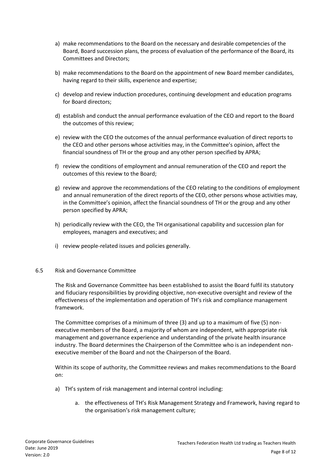- a) make recommendations to the Board on the necessary and desirable competencies of the Board, Board succession plans, the process of evaluation of the performance of the Board, its Committees and Directors;
- b) make recommendations to the Board on the appointment of new Board member candidates, having regard to their skills, experience and expertise;
- c) develop and review induction procedures, continuing development and education programs for Board directors;
- d) establish and conduct the annual performance evaluation of the CEO and report to the Board the outcomes of this review;
- e) review with the CEO the outcomes of the annual performance evaluation of direct reports to the CEO and other persons whose activities may, in the Committee's opinion, affect the financial soundness of TH or the group and any other person specified by APRA;
- f) review the conditions of employment and annual remuneration of the CEO and report the outcomes of this review to the Board;
- g) review and approve the recommendations of the CEO relating to the conditions of employment and annual remuneration of the direct reports of the CEO, other persons whose activities may, in the Committee's opinion, affect the financial soundness of TH or the group and any other person specified by APRA;
- h) periodically review with the CEO, the TH organisational capability and succession plan for employees, managers and executives; and
- i) review people-related issues and policies generally.
- 6.5 Risk and Governance Committee

The Risk and Governance Committee has been established to assist the Board fulfil its statutory and fiduciary responsibilities by providing objective, non-executive oversight and review of the effectiveness of the implementation and operation of TH's risk and compliance management framework.

The Committee comprises of a minimum of three (3) and up to a maximum of five (5) nonexecutive members of the Board, a majority of whom are independent, with appropriate risk management and governance experience and understanding of the private health insurance industry. The Board determines the Chairperson of the Committee who is an independent nonexecutive member of the Board and not the Chairperson of the Board.

Within its scope of authority, the Committee reviews and makes recommendations to the Board on:

- a) TH's system of risk management and internal control including:
	- a. the effectiveness of TH's Risk Management Strategy and Framework, having regard to the organisation's risk management culture;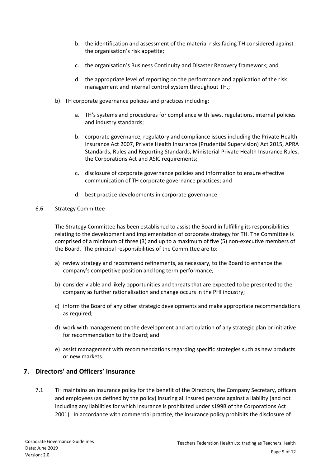- b. the identification and assessment of the material risks facing TH considered against the organisation's risk appetite;
- c. the organisation's Business Continuity and Disaster Recovery framework; and
- d. the appropriate level of reporting on the performance and application of the risk management and internal control system throughout TH.;
- b) TH corporate governance policies and practices including:
	- a. TH's systems and procedures for compliance with laws, regulations, internal policies and industry standards;
	- b. corporate governance, regulatory and compliance issues including the Private Health Insurance Act 2007, Private Health Insurance (Prudential Supervision) Act 2015, APRA Standards, Rules and Reporting Standards, Ministerial Private Health Insurance Rules, the Corporations Act and ASIC requirements;
	- c. disclosure of corporate governance policies and information to ensure effective communication of TH corporate governance practices; and
	- d. best practice developments in corporate governance.

#### 6.6 Strategy Committee

The Strategy Committee has been established to assist the Board in fulfilling its responsibilities relating to the development and implementation of corporate strategy for TH. The Committee is comprised of a minimum of three (3) and up to a maximum of five (5) non-executive members of the Board. The principal responsibilities of the Committee are to:

- a) review strategy and recommend refinements, as necessary, to the Board to enhance the company's competitive position and long term performance;
- b) consider viable and likely opportunities and threats that are expected to be presented to the company as further rationalisation and change occurs in the PHI industry;
- c) inform the Board of any other strategic developments and make appropriate recommendations as required;
- d) work with management on the development and articulation of any strategic plan or initiative for recommendation to the Board; and
- e) assist management with recommendations regarding specific strategies such as new products or new markets.

## <span id="page-8-0"></span>**7. Directors' and Officers' Insurance**

7.1 TH maintains an insurance policy for the benefit of the Directors, the Company Secretary, officers and employees (as defined by the policy) insuring all insured persons against a liability (and not including any liabilities for which insurance is prohibited under s199B of the Corporations Act 2001). In accordance with commercial practice, the insurance policy prohibits the disclosure of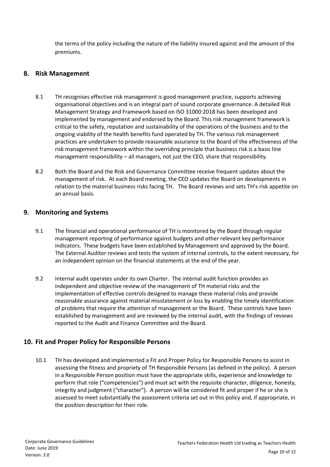the terms of the policy including the nature of the liability insured against and the amount of the premiums.

## <span id="page-9-0"></span>**8. Risk Management**

- 8.1 TH recognises effective risk management is good management practice, supports achieving organisational objectives and is an integral part of sound corporate governance. A detailed Risk Management Strategy and Framework based on ISO 31000:2018 has been developed and implemented by management and endorsed by the Board. This risk management framework is critical to the safety, reputation and sustainability of the operations of the business and to the ongoing viability of the health benefits fund operated by TH. The various risk management practices are undertaken to provide reasonable assurance to the Board of the effectiveness of the risk management framework within the overriding principle that business risk is a basic line management responsibility – all managers, not just the CEO, share that responsibility.
- 8.2 Both the Board and the Risk and Governance Committee receive frequent updates about the management of risk. At each Board meeting, the CEO updates the Board on developments in relation to the material business risks facing TH. The Board reviews and sets TH's risk appetite on an annual basis.

## <span id="page-9-1"></span>**9. Monitoring and Systems**

- 9.1 The financial and operational performance of TH is monitored by the Board through regular management reporting of performance against budgets and other relevant key performance indicators. These budgets have been established by Management and approved by the Board. The External Auditor reviews and tests the system of internal controls, to the extent necessary, for an independent opinion on the financial statements at the end of the year.
- 9.2 Internal audit operates under its own Charter. The internal audit function provides an independent and objective review of the management of TH material risks and the implementation of effective controls designed to manage these material risks and provide reasonable assurance against material misstatement or loss by enabling the timely identification of problems that require the attention of management or the Board. These controls have been established by management and are reviewed by the internal audit, with the findings of reviews reported to the Audit and Finance Committee and the Board.

# <span id="page-9-2"></span>**10. Fit and Proper Policy for Responsible Persons**

10.1 TH has developed and implemented a Fit and Proper Policy for Responsible Persons to assist in assessing the fitness and propriety of TH Responsible Persons (as defined in the policy). A person in a Responsible Person position must have the appropriate skills, experience and knowledge to perform that role ("competencies") and must act with the requisite character, diligence, honesty, integrity and judgment ("character"). A person will be considered fit and proper if he or she is assessed to meet substantially the assessment criteria set out in this policy and, if appropriate, in the position description for their role.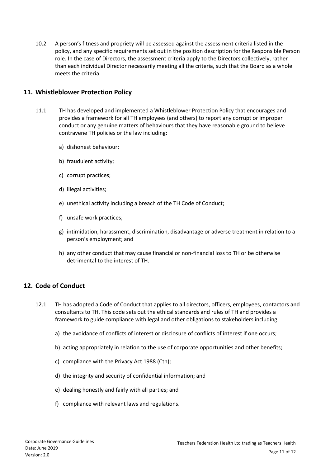10.2 A person's fitness and propriety will be assessed against the assessment criteria listed in the policy, and any specific requirements set out in the position description for the Responsible Person role. In the case of Directors, the assessment criteria apply to the Directors collectively, rather than each individual Director necessarily meeting all the criteria, such that the Board as a whole meets the criteria.

#### <span id="page-10-0"></span>**11. Whistleblower Protection Policy**

- 11.1 TH has developed and implemented a Whistleblower Protection Policy that encourages and provides a framework for all TH employees (and others) to report any corrupt or improper conduct or any genuine matters of behaviours that they have reasonable ground to believe contravene TH policies or the law including:
	- a) dishonest behaviour;
	- b) fraudulent activity;
	- c) corrupt practices;
	- d) illegal activities;
	- e) unethical activity including a breach of the TH Code of Conduct;
	- f) unsafe work practices;
	- g) intimidation, harassment, discrimination, disadvantage or adverse treatment in relation to a person's employment; and
	- h) any other conduct that may cause financial or non-financial loss to TH or be otherwise detrimental to the interest of TH.

## <span id="page-10-1"></span>**12. Code of Conduct**

- 12.1 TH has adopted a Code of Conduct that applies to all directors, officers, employees, contactors and consultants to TH. This code sets out the ethical standards and rules of TH and provides a framework to guide compliance with legal and other obligations to stakeholders including:
	- a) the avoidance of conflicts of interest or disclosure of conflicts of interest if one occurs;
	- b) acting appropriately in relation to the use of corporate opportunities and other benefits;
	- c) compliance with the Privacy Act 1988 (Cth);
	- d) the integrity and security of confidential information; and
	- e) dealing honestly and fairly with all parties; and
	- f) compliance with relevant laws and regulations.